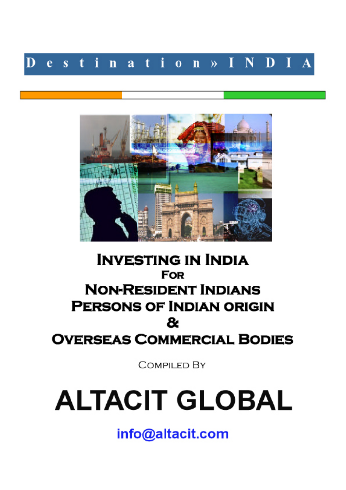



## **INVESTING IN INDIA FOR NON-RESIDENT INDIANS PERSONS OF INDIAN ORIGIN** &. **OVERSEAS COMMERCIAL BODIES**

**COMPILED BY** 

# **ALTACIT GLOBAL**

info@altacit.com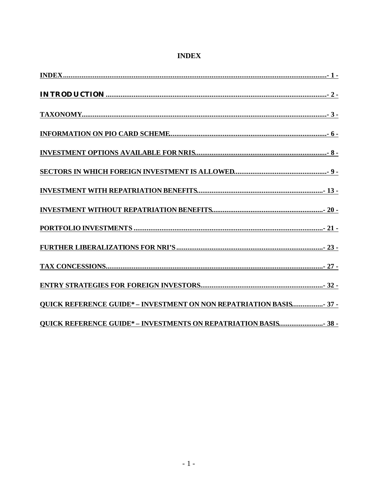#### **INDEX**

| <b>QUICK REFERENCE GUIDE* - INVESTMENT ON NON REPATRIATION BASIS 37 -</b> |
|---------------------------------------------------------------------------|
| <b>QUICK REFERENCE GUIDE* - INVESTMENTS ON REPATRIATION BASIS 38 -</b>    |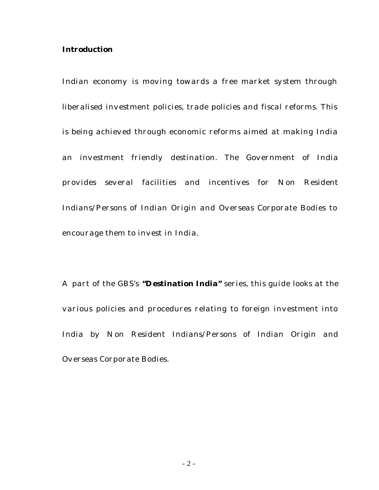#### **Introduction**

Indian economy is moving towards a free market system through liberalised investment policies, trade policies and fiscal reforms. This is being achieved through economic reforms aimed at making India an investment friendly destination. The Government of India provides several facilities and incentives for Non Resident Indians/Persons of Indian Origin and Overseas Corporate Bodies to encourage them to invest in India.

A part of the GBS's **"Destination India"** series, this guide looks at the various policies and procedures relating to foreign investment into India by Non Resident Indians/Persons of Indian Origin and Overseas Corporate Bodies.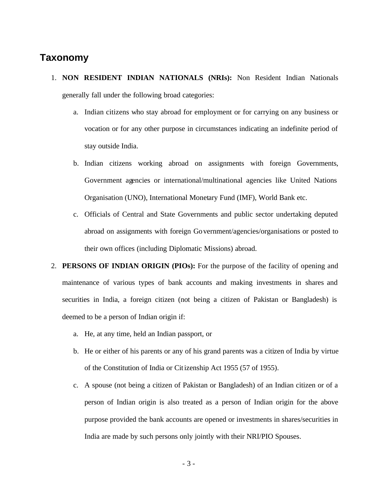#### **Taxonomy**

- 1. **NON RESIDENT INDIAN NATIONALS (NRIs):** Non Resident Indian Nationals generally fall under the following broad categories:
	- a. Indian citizens who stay abroad for employment or for carrying on any business or vocation or for any other purpose in circumstances indicating an indefinite period of stay outside India.
	- b. Indian citizens working abroad on assignments with foreign Governments, Government agencies or international/multinational agencies like United Nations Organisation (UNO), International Monetary Fund (IMF), World Bank etc.
	- c. Officials of Central and State Governments and public sector undertaking deputed abroad on assignments with foreign Government/agencies/organisations or posted to their own offices (including Diplomatic Missions) abroad.
- 2. **PERSONS OF INDIAN ORIGIN (PIOs):** For the purpose of the facility of opening and maintenance of various types of bank accounts and making investments in shares and securities in India, a foreign citizen (not being a citizen of Pakistan or Bangladesh) is deemed to be a person of Indian origin if:
	- a. He, at any time, held an Indian passport, or
	- b. He or either of his parents or any of his grand parents was a citizen of India by virtue of the Constitution of India or Citizenship Act 1955 (57 of 1955).
	- c. A spouse (not being a citizen of Pakistan or Bangladesh) of an Indian citizen or of a person of Indian origin is also treated as a person of Indian origin for the above purpose provided the bank accounts are opened or investments in shares/securities in India are made by such persons only jointly with their NRI/PIO Spouses.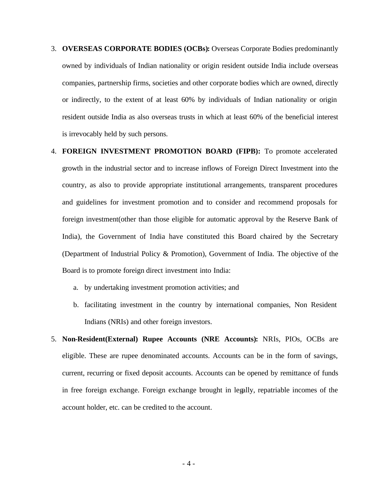- 3. **OVERSEAS CORPORATE BODIES (OCBs):** Overseas Corporate Bodies predominantly owned by individuals of Indian nationality or origin resident outside India include overseas companies, partnership firms, societies and other corporate bodies which are owned, directly or indirectly, to the extent of at least 60% by individuals of Indian nationality or origin resident outside India as also overseas trusts in which at least 60% of the beneficial interest is irrevocably held by such persons.
- 4. **FOREIGN INVESTMENT PROMOTION BOARD (FIPB):** To promote accelerated growth in the industrial sector and to increase inflows of Foreign Direct Investment into the country, as also to provide appropriate institutional arrangements, transparent procedures and guidelines for investment promotion and to consider and recommend proposals for foreign investment(other than those eligible for automatic approval by the Reserve Bank of India), the Government of India have constituted this Board chaired by the Secretary (Department of Industrial Policy & Promotion), Government of India. The objective of the Board is to promote foreign direct investment into India:
	- a. by undertaking investment promotion activities; and
	- b. facilitating investment in the country by international companies, Non Resident Indians (NRIs) and other foreign investors.
- 5. **Non-Resident(External) Rupee Accounts (NRE Accounts):** NRIs, PIOs, OCBs are eligible. These are rupee denominated accounts. Accounts can be in the form of savings, current, recurring or fixed deposit accounts. Accounts can be opened by remittance of funds in free foreign exchange. Foreign exchange brought in legally, repatriable incomes of the account holder, etc. can be credited to the account.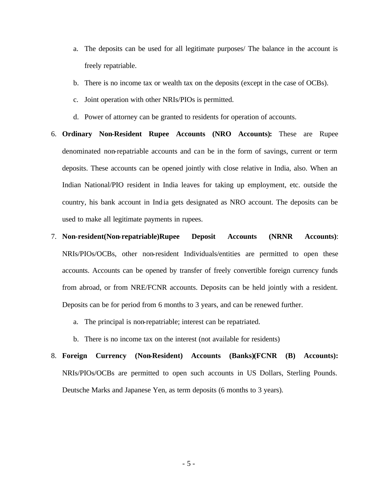- a. The deposits can be used for all legitimate purposes/ The balance in the account is freely repatriable.
- b. There is no income tax or wealth tax on the deposits (except in the case of OCBs).
- c. Joint operation with other NRIs/PIOs is permitted.
- d. Power of attorney can be granted to residents for operation of accounts.
- 6. **Ordinary Non-Resident Rupee Accounts (NRO Accounts):** These are Rupee denominated non-repatriable accounts and can be in the form of savings, current or term deposits. These accounts can be opened jointly with close relative in India, also. When an Indian National/PIO resident in India leaves for taking up employment, etc. outside the country, his bank account in India gets designated as NRO account. The deposits can be used to make all legitimate payments in rupees.
- 7. **Non-resident(Non-repatriable)Rupee Deposit Accounts (NRNR Accounts)**: NRIs/PIOs/OCBs, other non-resident Individuals/entities are permitted to open these accounts. Accounts can be opened by transfer of freely convertible foreign currency funds from abroad, or from NRE/FCNR accounts. Deposits can be held jointly with a resident. Deposits can be for period from 6 months to 3 years, and can be renewed further.
	- a. The principal is non-repatriable; interest can be repatriated.
	- b. There is no income tax on the interest (not available for residents)
- 8. **Foreign Currency (Non-Resident) Accounts (Banks)(FCNR (B) Accounts):** NRIs/PIOs/OCBs are permitted to open such accounts in US Dollars, Sterling Pounds. Deutsche Marks and Japanese Yen, as term deposits (6 months to 3 years).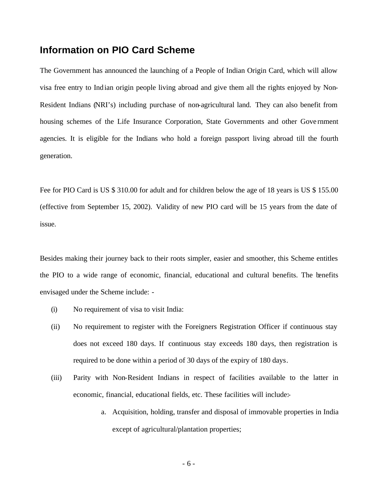#### **Information on PIO Card Scheme**

The Government has announced the launching of a People of Indian Origin Card, which will allow visa free entry to Indian origin people living abroad and give them all the rights enjoyed by Non-Resident Indians (NRI's) including purchase of non-agricultural land. They can also benefit from housing schemes of the Life Insurance Corporation, State Governments and other Government agencies. It is eligible for the Indians who hold a foreign passport living abroad till the fourth generation.

Fee for PIO Card is US \$ 310.00 for adult and for children below the age of 18 years is US \$ 155.00 (effective from September 15, 2002). Validity of new PIO card will be 15 years from the date of issue.

Besides making their journey back to their roots simpler, easier and smoother, this Scheme entitles the PIO to a wide range of economic, financial, educational and cultural benefits. The benefits envisaged under the Scheme include: -

- (i) No requirement of visa to visit India:
- (ii) No requirement to register with the Foreigners Registration Officer if continuous stay does not exceed 180 days. If continuous stay exceeds 180 days, then registration is required to be done within a period of 30 days of the expiry of 180 days.
- (iii) Parity with Non-Resident Indians in respect of facilities available to the latter in economic, financial, educational fields, etc. These facilities will include:
	- a. Acquisition, holding, transfer and disposal of immovable properties in India except of agricultural/plantation properties;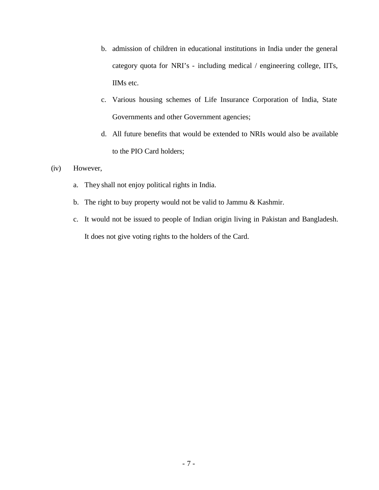- b. admission of children in educational institutions in India under the general category quota for NRI's - including medical / engineering college, IITs, IIMs etc.
- c. Various housing schemes of Life Insurance Corporation of India, State Governments and other Government agencies;
- d. All future benefits that would be extended to NRIs would also be available to the PIO Card holders;

#### (iv) However,

- a. They shall not enjoy political rights in India.
- b. The right to buy property would not be valid to Jammu & Kashmir.
- c. It would not be issued to people of Indian origin living in Pakistan and Bangladesh. It does not give voting rights to the holders of the Card.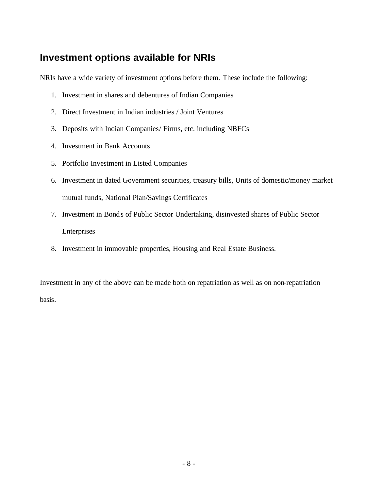## **Investment options available for NRIs**

NRIs have a wide variety of investment options before them. These include the following:

- 1. Investment in shares and debentures of Indian Companies
- 2. Direct Investment in Indian industries / Joint Ventures
- 3. Deposits with Indian Companies/ Firms, etc. including NBFCs
- 4. Investment in Bank Accounts
- 5. Portfolio Investment in Listed Companies
- 6. Investment in dated Government securities, treasury bills, Units of domestic/money market mutual funds, National Plan/Savings Certificates
- 7. Investment in Bonds of Public Sector Undertaking, disinvested shares of Public Sector Enterprises
- 8. Investment in immovable properties, Housing and Real Estate Business.

Investment in any of the above can be made both on repatriation as well as on non-repatriation basis.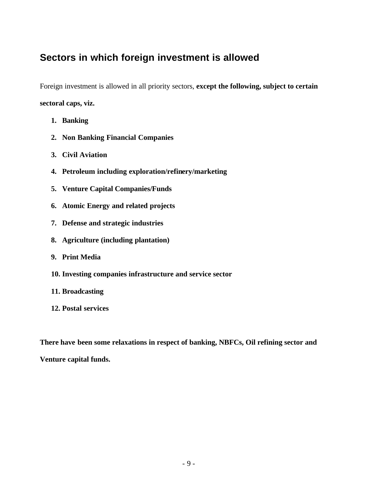## **Sectors in which foreign investment is allowed**

Foreign investment is allowed in all priority sectors, **except the following, subject to certain sectoral caps, viz.** 

- **1. Banking**
- **2. Non Banking Financial Companies**
- **3. Civil Aviation**
- **4. Petroleum including exploration/refinery/marketing**
- **5. Venture Capital Companies/Funds**
- **6. Atomic Energy and related projects**
- **7. Defense and strategic industries**
- **8. Agriculture (including plantation)**
- **9. Print Media**
- **10. Investing companies infrastructure and service sector**
- **11. Broadcasting**
- **12. Postal services**

**There have been some relaxations in respect of banking, NBFCs, Oil refining sector and** 

**Venture capital funds.**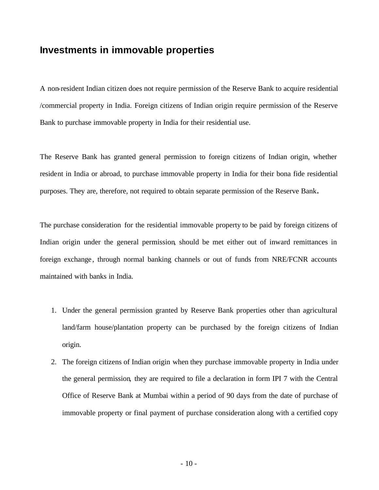#### **Investments in immovable properties**

A non-resident Indian citizen does not require permission of the Reserve Bank to acquire residential /commercial property in India. Foreign citizens of Indian origin require permission of the Reserve Bank to purchase immovable property in India for their residential use.

The Reserve Bank has granted general permission to foreign citizens of Indian origin, whether resident in India or abroad, to purchase immovable property in India for their bona fide residential purposes. They are, therefore, not required to obtain separate permission of the Reserve Bank**.**

The purchase consideration for the residential immovable property to be paid by foreign citizens of Indian origin under the general permission, should be met either out of inward remittances in foreign exchange , through normal banking channels or out of funds from NRE/FCNR accounts maintained with banks in India.

- 1. Under the general permission granted by Reserve Bank properties other than agricultural land/farm house/plantation property can be purchased by the foreign citizens of Indian origin.
- 2. The foreign citizens of Indian origin when they purchase immovable property in India under the general permission, they are required to file a declaration in form IPI 7 with the Central Office of Reserve Bank at Mumbai within a period of 90 days from the date of purchase of immovable property or final payment of purchase consideration along with a certified copy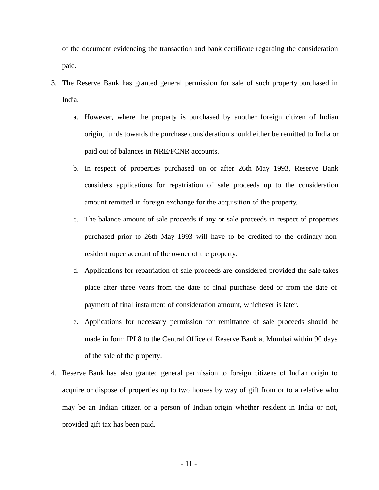of the document evidencing the transaction and bank certificate regarding the consideration paid.

- 3. The Reserve Bank has granted general permission for sale of such property purchased in India.
	- a. However, where the property is purchased by another foreign citizen of Indian origin, funds towards the purchase consideration should either be remitted to India or paid out of balances in NRE/FCNR accounts.
	- b. In respect of properties purchased on or after 26th May 1993, Reserve Bank considers applications for repatriation of sale proceeds up to the consideration amount remitted in foreign exchange for the acquisition of the property.
	- c. The balance amount of sale proceeds if any or sale proceeds in respect of properties purchased prior to 26th May 1993 will have to be credited to the ordinary nonresident rupee account of the owner of the property.
	- d. Applications for repatriation of sale proceeds are considered provided the sale takes place after three years from the date of final purchase deed or from the date of payment of final instalment of consideration amount, whichever is later.
	- e. Applications for necessary permission for remittance of sale proceeds should be made in form IPI 8 to the Central Office of Reserve Bank at Mumbai within 90 days of the sale of the property.
- 4. Reserve Bank has also granted general permission to foreign citizens of Indian origin to acquire or dispose of properties up to two houses by way of gift from or to a relative who may be an Indian citizen or a person of Indian origin whether resident in India or not, provided gift tax has been paid.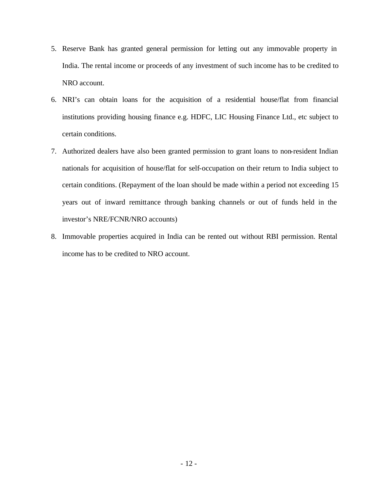- 5. Reserve Bank has granted general permission for letting out any immovable property in India. The rental income or proceeds of any investment of such income has to be credited to NRO account.
- 6. NRI's can obtain loans for the acquisition of a residential house/flat from financial institutions providing housing finance e.g. HDFC, LIC Housing Finance Ltd., etc subject to certain conditions.
- 7. Authorized dealers have also been granted permission to grant loans to non-resident Indian nationals for acquisition of house/flat for self-occupation on their return to India subject to certain conditions. (Repayment of the loan should be made within a period not exceeding 15 years out of inward remittance through banking channels or out of funds held in the investor's NRE/FCNR/NRO accounts)
- 8. Immovable properties acquired in India can be rented out without RBI permission. Rental income has to be credited to NRO account.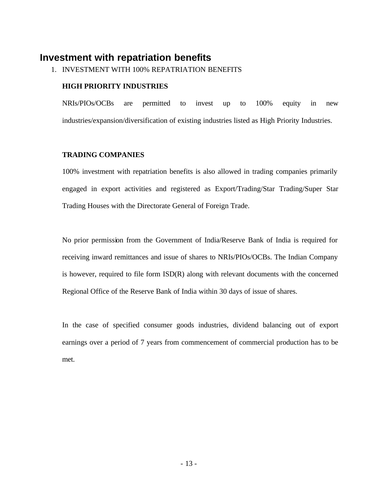### **Investment with repatriation benefits**

1. INVESTMENT WITH 100% REPATRIATION BENEFITS

#### **HIGH PRIORITY INDUSTRIES**

NRIs/PIOs/OCBs are permitted to invest up to 100% equity in new industries/expansion/diversification of existing industries listed as High Priority Industries.

#### **TRADING COMPANIES**

100% investment with repatriation benefits is also allowed in trading companies primarily engaged in export activities and registered as Export/Trading/Star Trading/Super Star Trading Houses with the Directorate General of Foreign Trade.

No prior permission from the Government of India/Reserve Bank of India is required for receiving inward remittances and issue of shares to NRIs/PIOs/OCBs. The Indian Company is however, required to file form ISD(R) along with relevant documents with the concerned Regional Office of the Reserve Bank of India within 30 days of issue of shares.

In the case of specified consumer goods industries, dividend balancing out of export earnings over a period of 7 years from commencement of commercial production has to be met.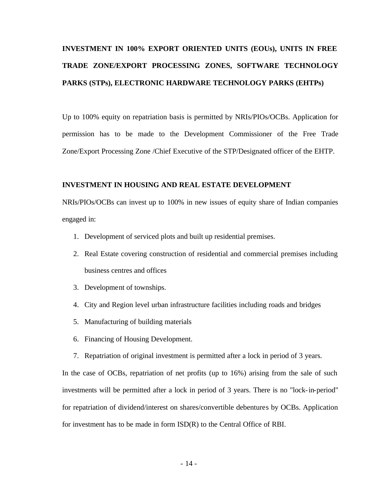## **INVESTMENT IN 100% EXPORT ORIENTED UNITS (EOUs), UNITS IN FREE TRADE ZONE/EXPORT PROCESSING ZONES, SOFTWARE TECHNOLOGY PARKS (STPs), ELECTRONIC HARDWARE TECHNOLOGY PARKS (EHTPs)**

Up to 100% equity on repatriation basis is permitted by NRIs/PIOs/OCBs. Application for permission has to be made to the Development Commissioner of the Free Trade Zone/Export Processing Zone /Chief Executive of the STP/Designated officer of the EHTP.

#### **INVESTMENT IN HOUSING AND REAL ESTATE DEVELOPMENT**

NRIs/PIOs/OCBs can invest up to 100% in new issues of equity share of Indian companies engaged in:

- 1. Development of serviced plots and built up residential premises.
- 2. Real Estate covering construction of residential and commercial premises including business centres and offices
- 3. Development of townships.
- 4. City and Region level urban infrastructure facilities including roads and bridges
- 5. Manufacturing of building materials
- 6. Financing of Housing Development.
- 7. Repatriation of original investment is permitted after a lock in period of 3 years.

In the case of OCBs, repatriation of net profits (up to 16%) arising from the sale of such investments will be permitted after a lock in period of 3 years. There is no "lock-in-period" for repatriation of dividend/interest on shares/convertible debentures by OCBs. Application for investment has to be made in form ISD(R) to the Central Office of RBI.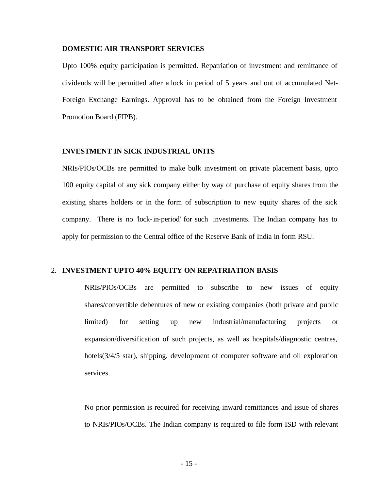#### **DOMESTIC AIR TRANSPORT SERVICES**

Upto 100% equity participation is permitted. Repatriation of investment and remittance of dividends will be permitted after a lock in period of 5 years and out of accumulated Net-Foreign Exchange Earnings. Approval has to be obtained from the Foreign Investment Promotion Board (FIPB).

#### **INVESTMENT IN SICK INDUSTRIAL UNITS**

NRIs/PIOs/OCBs are permitted to make bulk investment on private placement basis, upto 100 equity capital of any sick company either by way of purchase of equity shares from the existing shares holders or in the form of subscription to new equity shares of the sick company. There is no 'lock-in-period' for such investments. The Indian company has to apply for permission to the Central office of the Reserve Bank of India in form RSU.

#### 2. **INVESTMENT UPTO 40% EQUITY ON REPATRIATION BASIS**

NRIs/PIOs/OCBs are permitted to subscribe to new issues of equity shares/convertible debentures of new or existing companies (both private and public limited) for setting up new industrial/manufacturing projects or expansion/diversification of such projects, as well as hospitals/diagnostic centres, hotels(3/4/5 star), shipping, development of computer software and oil exploration services.

No prior permission is required for receiving inward remittances and issue of shares to NRIs/PIOs/OCBs. The Indian company is required to file form ISD with relevant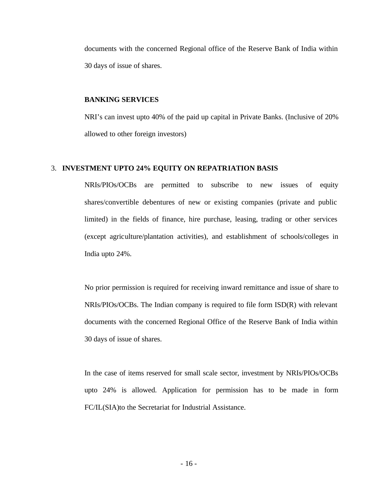documents with the concerned Regional office of the Reserve Bank of India within 30 days of issue of shares.

#### **BANKING SERVICES**

NRI's can invest upto 40% of the paid up capital in Private Banks. (Inclusive of 20% allowed to other foreign investors)

#### 3. **INVESTMENT UPTO 24% EQUITY ON REPATRIATION BASIS**

NRIs/PIOs/OCBs are permitted to subscribe to new issues of equity shares/convertible debentures of new or existing companies (private and public limited) in the fields of finance, hire purchase, leasing, trading or other services (except agriculture/plantation activities), and establishment of schools/colleges in India upto 24%.

No prior permission is required for receiving inward remittance and issue of share to NRIs/PIOs/OCBs. The Indian company is required to file form ISD(R) with relevant documents with the concerned Regional Office of the Reserve Bank of India within 30 days of issue of shares.

In the case of items reserved for small scale sector, investment by NRIs/PIOs/OCBs upto 24% is allowed. Application for permission has to be made in form FC/IL(SIA)to the Secretariat for Industrial Assistance.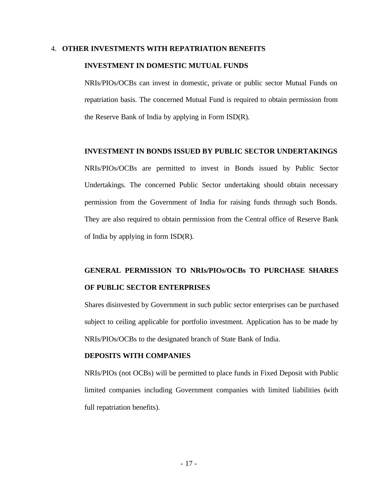#### 4. **OTHER INVESTMENTS WITH REPATRIATION BENEFITS**

#### **INVESTMENT IN DOMESTIC MUTUAL FUNDS**

NRIs/PIOs/OCBs can invest in domestic, private or public sector Mutual Funds on repatriation basis. The concerned Mutual Fund is required to obtain permission from the Reserve Bank of India by applying in Form ISD(R).

#### **INVESTMENT IN BONDS ISSUED BY PUBLIC SECTOR UNDERTAKINGS**

NRIs/PIOs/OCBs are permitted to invest in Bonds issued by Public Sector Undertakings. The concerned Public Sector undertaking should obtain necessary permission from the Government of India for raising funds through such Bonds. They are also required to obtain permission from the Central office of Reserve Bank of India by applying in form ISD(R).

## **GENERAL PERMISSION TO NRIs/PIOs/OCBs TO PURCHASE SHARES OF PUBLIC SECTOR ENTERPRISES**

Shares disinvested by Government in such public sector enterprises can be purchased subject to ceiling applicable for portfolio investment. Application has to be made by NRIs/PIOs/OCBs to the designated branch of State Bank of India.

#### **DEPOSITS WITH COMPANIES**

NRIs/PIOs (not OCBs) will be permitted to place funds in Fixed Deposit with Public limited companies including Government companies with limited liabilities (with full repatriation benefits).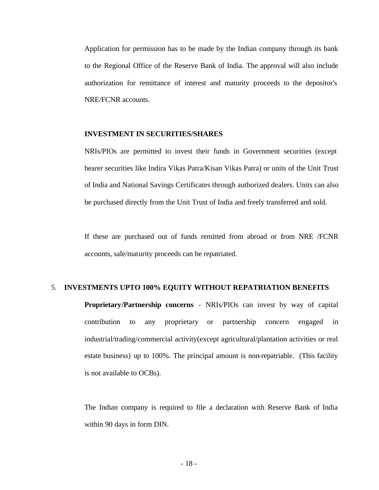Application for permission has to be made by the Indian company through its bank to the Regional Office of the Reserve Bank of India. The approval will also include authorization for remittance of interest and maturity proceeds to the depositor's NRE/FCNR accounts.

#### **INVESTMENT IN SECURITIES/SHARES**

NRIs/PIOs are permitted to invest their funds in Government securities (except bearer securities like Indira Vikas Patra/Kisan Vikas Patra) or units of the Unit Trust of India and National Savings Certificates through authorized dealers. Units can also be purchased directly from the Unit Trust of India and freely transferred and sold.

If these are purchased out of funds remitted from abroad or from NRE /FCNR accounts, sale/maturity proceeds can be repatriated.

#### 5. **INVESTMENTS UPTO 100% EQUITY WITHOUT REPATRIATION BENEFITS**

**Proprietary/Partnership concerns** - NRIs/PIOs can invest by way of capital contribution to any proprietary or partnership concern engaged in industrial/trading/commercial activity(except agricultural/plantation activities or real estate business) up to 100%. The principal amount is non-repatriable. (This facility is not available to OCBs).

The Indian company is required to file a declaration with Reserve Bank of India within 90 days in form DIN.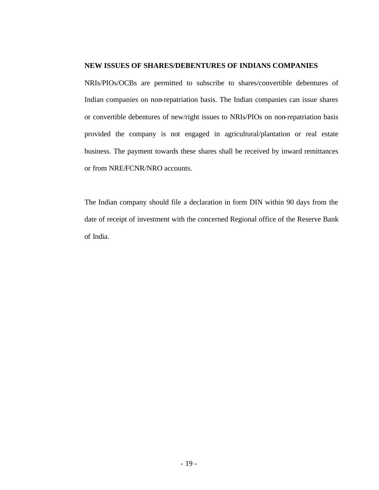#### **NEW ISSUES OF SHARES/DEBENTURES OF INDIANS COMPANIES**

NRIs/PIOs/OCBs are permitted to subscribe to shares/convertible debentures of Indian companies on non-repatriation basis. The Indian companies can issue shares or convertible debentures of new/right issues to NRIs/PIOs on non-repatriation basis provided the company is not engaged in agricultural/plantation or real estate business. The payment towards these shares shall be received by inward remittances or from NRE/FCNR/NRO accounts.

The Indian company should file a declaration in form DIN within 90 days from the date of receipt of investment with the concerned Regional office of the Reserve Bank of India.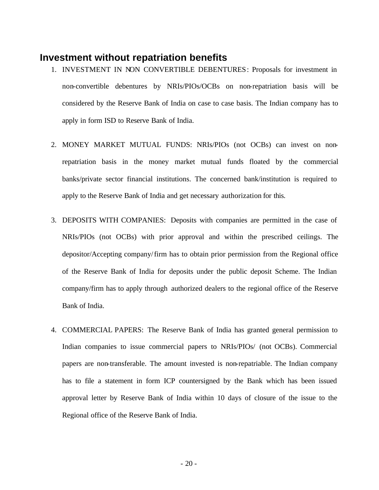#### **Investment without repatriation benefits**

- 1. INVESTMENT IN NON CONVERTIBLE DEBENTURES: Proposals for investment in non-convertible debentures by NRIs/PIOs/OCBs on non-repatriation basis will be considered by the Reserve Bank of India on case to case basis. The Indian company has to apply in form ISD to Reserve Bank of India.
- 2. MONEY MARKET MUTUAL FUNDS: NRIs/PIOs (not OCBs) can invest on nonrepatriation basis in the money market mutual funds floated by the commercial banks/private sector financial institutions. The concerned bank/institution is required to apply to the Reserve Bank of India and get necessary authorization for this.
- 3. DEPOSITS WITH COMPANIES: Deposits with companies are permitted in the case of NRIs/PIOs (not OCBs) with prior approval and within the prescribed ceilings. The depositor/Accepting company/firm has to obtain prior permission from the Regional office of the Reserve Bank of India for deposits under the public deposit Scheme. The Indian company/firm has to apply through authorized dealers to the regional office of the Reserve Bank of India.
- 4. COMMERCIAL PAPERS: The Reserve Bank of India has granted general permission to Indian companies to issue commercial papers to NRIs/PIOs/ (not OCBs). Commercial papers are non-transferable. The amount invested is non-repatriable. The Indian company has to file a statement in form ICP countersigned by the Bank which has been issued approval letter by Reserve Bank of India within 10 days of closure of the issue to the Regional office of the Reserve Bank of India.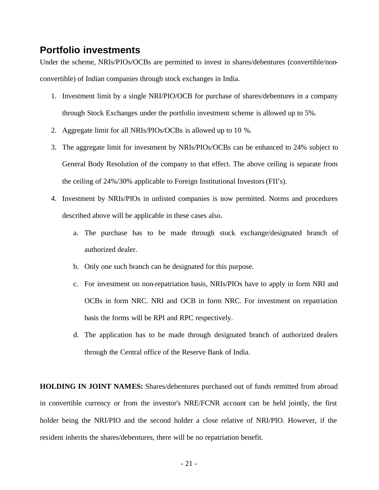### **Portfolio investments**

Under the scheme, NRIs/PIOs/OCBs are permitted to invest in shares/debentures (convertible/nonconvertible) of Indian companies through stock exchanges in India.

- 1. Investment limit by a single NRI/PIO/OCB for purchase of shares/debentures in a company through Stock Exchanges under the portfolio investment scheme is allowed up to 5%.
- 2. Aggregate limit for all NRIs/PIOs/OCBs is allowed up to 10 %.
- 3. The aggregate limit for investment by NRIs/PIOs/OCBs can be enhanced to 24% subject to General Body Resolution of the company to that effect. The above ceiling is separate from the ceiling of 24%/30% applicable to Foreign Institutional Investors(FII's).
- 4. Investment by NRIs/PIOs in unlisted companies is now permitted. Norms and procedures described above will be applicable in these cases also.
	- a. The purchase has to be made through stock exchange/designated branch of authorized dealer.
	- b. Only one such branch can be designated for this purpose.
	- c. For investment on non-repatriation basis, NRIs/PIOs have to apply in form NRI and OCBs in form NRC. NRI and OCB in form NRC. For investment on repatriation basis the forms will be RPI and RPC respectively.
	- d. The application has to be made through designated branch of authorized dealers through the Central office of the Reserve Bank of India.

**HOLDING IN JOINT NAMES:** Shares/debentures purchased out of funds remitted from abroad in convertible currency or from the investor's NRE/FCNR account can be held jointly, the first holder being the NRI/PIO and the second holder a close relative of NRI/PIO. However, if the resident inherits the shares/debentures, there will be no repatriation benefit.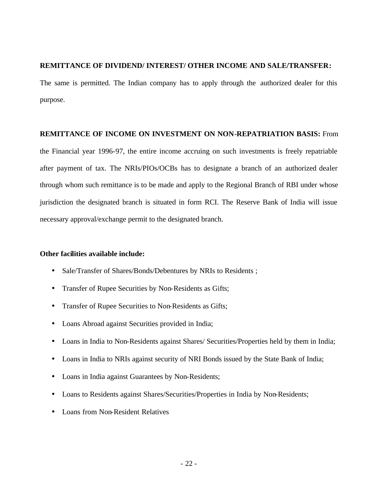#### **REMITTANCE OF DIVIDEND/ INTEREST/ OTHER INCOME AND SALE/TRANSFER:**

The same is permitted. The Indian company has to apply through the authorized dealer for this purpose.

#### **REMITTANCE OF INCOME ON INVESTMENT ON NON-REPATRIATION BASIS:** From

the Financial year 1996-97, the entire income accruing on such investments is freely repatriable after payment of tax. The NRIs/PIOs/OCBs has to designate a branch of an authorized dealer through whom such remittance is to be made and apply to the Regional Branch of RBI under whose jurisdiction the designated branch is situated in form RCI. The Reserve Bank of India will issue necessary approval/exchange permit to the designated branch.

#### **Other facilities available include:**

- Sale/Transfer of Shares/Bonds/Debentures by NRIs to Residents;
- Transfer of Rupee Securities by Non-Residents as Gifts;
- Transfer of Rupee Securities to Non-Residents as Gifts;
- Loans Abroad against Securities provided in India;
- Loans in India to Non-Residents against Shares/ Securities/Properties held by them in India;
- Loans in India to NRIs against security of NRI Bonds issued by the State Bank of India;
- Loans in India against Guarantees by Non-Residents;
- Loans to Residents against Shares/Securities/Properties in India by Non-Residents;
- Loans from Non-Resident Relatives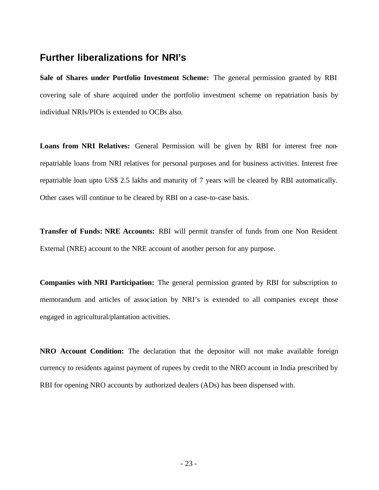### **Further liberalizations for NRI's**

**Sale of Shares under Portfolio Investment Scheme:** The general permission granted by RBI covering sale of share acquired under the portfolio investment scheme on repatriation basis by individual NRIs/PIOs is extended to OCBs also.

**Loans from NRI Relatives:** General Permission will be given by RBI for interest free nonrepatriable loans from NRI relatives for personal purposes and for business activities. Interest free repatriable loan upto US\$ 2.5 lakhs and maturity of 7 years will be cleared by RBI automatically. Other cases will continue to be cleared by RBI on a case-to-case basis.

**Transfer of Funds: NRE Accounts:** RBI will permit transfer of funds from one Non Resident External (NRE) account to the NRE account of another person for any purpose.

**Companies with NRI Participation:** The general permission granted by RBI for subscription to memorandum and articles of association by NRI's is extended to all companies except those engaged in agricultural/plantation activities.

**NRO Account Condition:** The declaration that the depositor will not make available foreign currency to residents against payment of rupees by credit to the NRO account in India prescribed by RBI for opening NRO accounts by authorized dealers (ADs) has been dispensed with.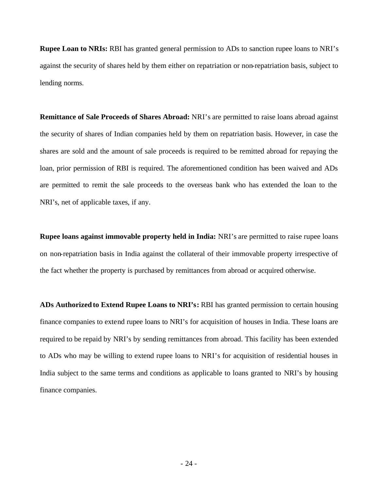**Rupee Loan to NRIs:** RBI has granted general permission to ADs to sanction rupee loans to NRI's against the security of shares held by them either on repatriation or non-repatriation basis, subject to lending norms.

**Remittance of Sale Proceeds of Shares Abroad:** NRI's are permitted to raise loans abroad against the security of shares of Indian companies held by them on repatriation basis. However, in case the shares are sold and the amount of sale proceeds is required to be remitted abroad for repaying the loan, prior permission of RBI is required. The aforementioned condition has been waived and ADs are permitted to remit the sale proceeds to the overseas bank who has extended the loan to the NRI's, net of applicable taxes, if any.

**Rupee loans against immovable property held in India:** NRI's are permitted to raise rupee loans on non-repatriation basis in India against the collateral of their immovable property irrespective of the fact whether the property is purchased by remittances from abroad or acquired otherwise.

**ADs Authorized to Extend Rupee Loans to NRI's:** RBI has granted permission to certain housing finance companies to extend rupee loans to NRI's for acquisition of houses in India. These loans are required to be repaid by NRI's by sending remittances from abroad. This facility has been extended to ADs who may be willing to extend rupee loans to NRI's for acquisition of residential houses in India subject to the same terms and conditions as applicable to loans granted to NRI's by housing finance companies.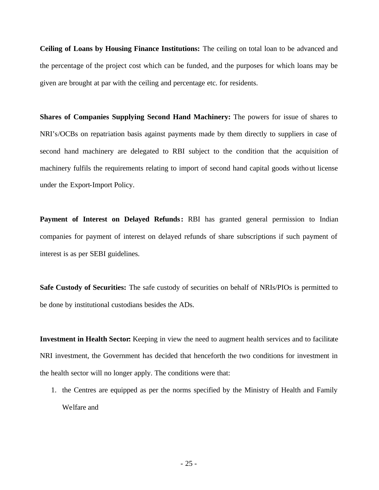**Ceiling of Loans by Housing Finance Institutions:** The ceiling on total loan to be advanced and the percentage of the project cost which can be funded, and the purposes for which loans may be given are brought at par with the ceiling and percentage etc. for residents.

**Shares of Companies Supplying Second Hand Machinery:** The powers for issue of shares to NRI's/OCBs on repatriation basis against payments made by them directly to suppliers in case of second hand machinery are delegated to RBI subject to the condition that the acquisition of machinery fulfils the requirements relating to import of second hand capital goods without license under the Export-Import Policy.

Payment of Interest on Delayed Refunds: RBI has granted general permission to Indian companies for payment of interest on delayed refunds of share subscriptions if such payment of interest is as per SEBI guidelines.

**Safe Custody of Securities:** The safe custody of securities on behalf of NRIs/PIOs is permitted to be done by institutional custodians besides the ADs.

**Investment in Health Sector:** Keeping in view the need to augment health services and to facilitate NRI investment, the Government has decided that henceforth the two conditions for investment in the health sector will no longer apply. The conditions were that:

1. the Centres are equipped as per the norms specified by the Ministry of Health and Family Welfare and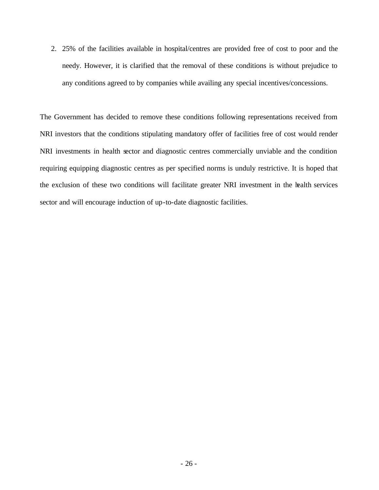2. 25% of the facilities available in hospital/centres are provided free of cost to poor and the needy. However, it is clarified that the removal of these conditions is without prejudice to any conditions agreed to by companies while availing any special incentives/concessions.

The Government has decided to remove these conditions following representations received from NRI investors that the conditions stipulating mandatory offer of facilities free of cost would render NRI investments in health sector and diagnostic centres commercially unviable and the condition requiring equipping diagnostic centres as per specified norms is unduly restrictive. It is hoped that the exclusion of these two conditions will facilitate greater NRI investment in the health services sector and will encourage induction of up-to-date diagnostic facilities.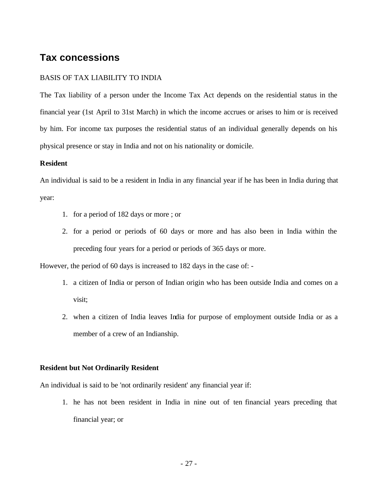## **Tax concessions**

#### BASIS OF TAX LIABILITY TO INDIA

The Tax liability of a person under the Income Tax Act depends on the residential status in the financial year (1st April to 31st March) in which the income accrues or arises to him or is received by him. For income tax purposes the residential status of an individual generally depends on his physical presence or stay in India and not on his nationality or domicile.

#### **Resident**

An individual is said to be a resident in India in any financial year if he has been in India during that year:

- 1. for a period of 182 days or more ; or
- 2. for a period or periods of 60 days or more and has also been in India within the preceding four years for a period or periods of 365 days or more.

However, the period of 60 days is increased to 182 days in the case of: -

- 1. a citizen of India or person of Indian origin who has been outside India and comes on a visit;
- 2. when a citizen of India leaves India for purpose of employment outside India or as a member of a crew of an Indianship.

#### **Resident but Not Ordinarily Resident**

An individual is said to be 'not ordinarily resident' any financial year if:

1. he has not been resident in India in nine out of ten financial years preceding that financial year; or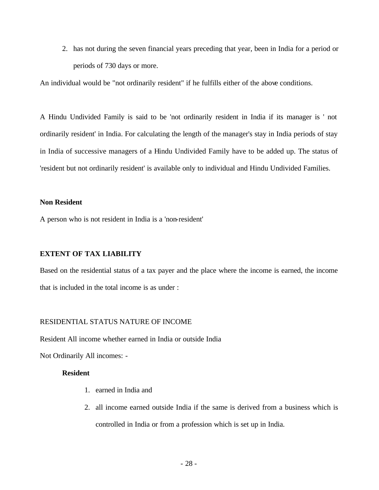2. has not during the seven financial years preceding that year, been in India for a period or periods of 730 days or more.

An individual would be "not ordinarily resident" if he fulfills either of the above conditions.

A Hindu Undivided Family is said to be 'not ordinarily resident in India if its manager is ' not ordinarily resident' in India. For calculating the length of the manager's stay in India periods of stay in India of successive managers of a Hindu Undivided Family have to be added up. The status of 'resident but not ordinarily resident' is available only to individual and Hindu Undivided Families.

#### **Non Resident**

A person who is not resident in India is a 'non-resident'

#### **EXTENT OF TAX LIABILITY**

Based on the residential status of a tax payer and the place where the income is earned, the income that is included in the total income is as under :

#### RESIDENTIAL STATUS NATURE OF INCOME

Resident All income whether earned in India or outside India

Not Ordinarily All incomes: -

#### **Resident**

- 1. earned in India and
- 2. all income earned outside India if the same is derived from a business which is controlled in India or from a profession which is set up in India.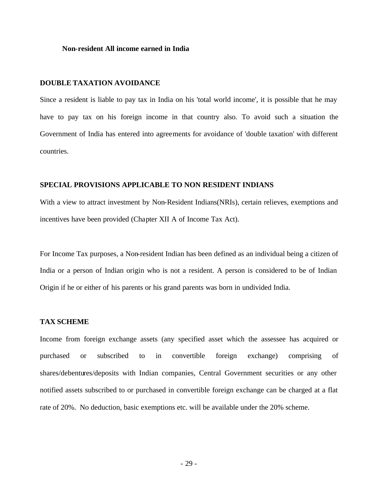#### **Non-resident All income earned in India**

#### **DOUBLE TAXATION AVOIDANCE**

Since a resident is liable to pay tax in India on his 'total world income', it is possible that he may have to pay tax on his foreign income in that country also. To avoid such a situation the Government of India has entered into agreements for avoidance of 'double taxation' with different countries.

#### **SPECIAL PROVISIONS APPLICABLE TO NON RESIDENT INDIANS**

With a view to attract investment by Non-Resident Indians(NRIs), certain relieves, exemptions and incentives have been provided (Chapter XII A of Income Tax Act).

For Income Tax purposes, a Non-resident Indian has been defined as an individual being a citizen of India or a person of Indian origin who is not a resident. A person is considered to be of Indian Origin if he or either of his parents or his grand parents was born in undivided India.

#### **TAX SCHEME**

Income from foreign exchange assets (any specified asset which the assessee has acquired or purchased or subscribed to in convertible foreign exchange) comprising of shares/debentures/deposits with Indian companies, Central Government securities or any other notified assets subscribed to or purchased in convertible foreign exchange can be charged at a flat rate of 20%. No deduction, basic exemptions etc. will be available under the 20% scheme.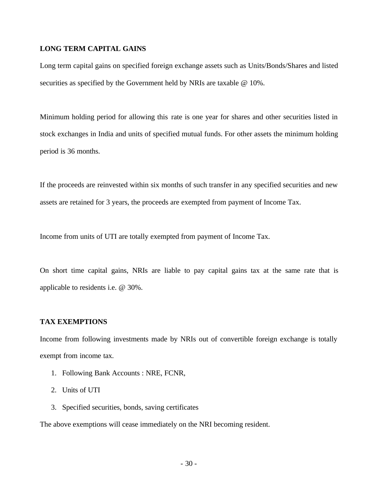#### **LONG TERM CAPITAL GAINS**

Long term capital gains on specified foreign exchange assets such as Units/Bonds/Shares and listed securities as specified by the Government held by NRIs are taxable @ 10%.

Minimum holding period for allowing this rate is one year for shares and other securities listed in stock exchanges in India and units of specified mutual funds. For other assets the minimum holding period is 36 months.

If the proceeds are reinvested within six months of such transfer in any specified securities and new assets are retained for 3 years, the proceeds are exempted from payment of Income Tax.

Income from units of UTI are totally exempted from payment of Income Tax.

On short time capital gains, NRIs are liable to pay capital gains tax at the same rate that is applicable to residents i.e. @ 30%.

#### **TAX EXEMPTIONS**

Income from following investments made by NRIs out of convertible foreign exchange is totally exempt from income tax.

- 1. Following Bank Accounts : NRE, FCNR,
- 2. Units of UTI
- 3. Specified securities, bonds, saving certificates

The above exemptions will cease immediately on the NRI becoming resident.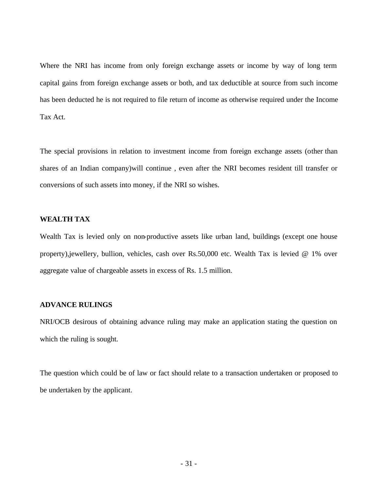Where the NRI has income from only foreign exchange assets or income by way of long term capital gains from foreign exchange assets or both, and tax deductible at source from such income has been deducted he is not required to file return of income as otherwise required under the Income Tax Act.

The special provisions in relation to investment income from foreign exchange assets (other than shares of an Indian company)will continue , even after the NRI becomes resident till transfer or conversions of such assets into money, if the NRI so wishes.

#### **WEALTH TAX**

Wealth Tax is levied only on non-productive assets like urban land, buildings (except one house property),jewellery, bullion, vehicles, cash over Rs.50,000 etc. Wealth Tax is levied @ 1% over aggregate value of chargeable assets in excess of Rs. 1.5 million.

#### **ADVANCE RULINGS**

NRI/OCB desirous of obtaining advance ruling may make an application stating the question on which the ruling is sought.

The question which could be of law or fact should relate to a transaction undertaken or proposed to be undertaken by the applicant.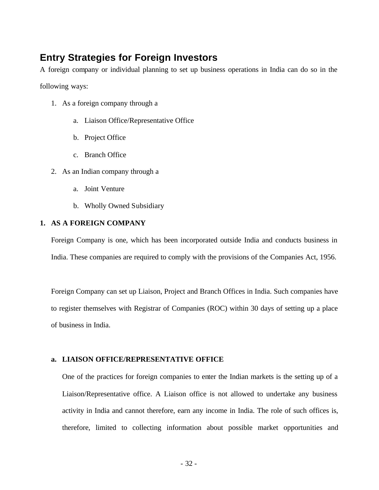## **Entry Strategies for Foreign Investors**

A foreign company or individual planning to set up business operations in India can do so in the

following ways:

- 1. As a foreign company through a
	- a. Liaison Office/Representative Office
	- b. Project Office
	- c. Branch Office
- 2. As an Indian company through a
	- a. Joint Venture
	- b. Wholly Owned Subsidiary

#### **1. AS A FOREIGN COMPANY**

Foreign Company is one, which has been incorporated outside India and conducts business in India. These companies are required to comply with the provisions of the Companies Act, 1956.

Foreign Company can set up Liaison, Project and Branch Offices in India. Such companies have to register themselves with Registrar of Companies (ROC) within 30 days of setting up a place of business in India.

#### **a. LIAISON OFFICE/REPRESENTATIVE OFFICE**

One of the practices for foreign companies to enter the Indian markets is the setting up of a Liaison/Representative office. A Liaison office is not allowed to undertake any business activity in India and cannot therefore, earn any income in India. The role of such offices is, therefore, limited to collecting information about possible market opportunities and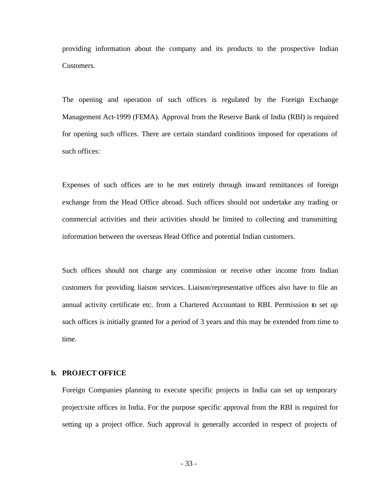providing information about the company and its products to the prospective Indian Customers.

The opening and operation of such offices is regulated by the Foreign Exchange Management Act-1999 (FEMA). Approval from the Reserve Bank of India (RBI) is required for opening such offices. There are certain standard conditions imposed for operations of such offices:

Expenses of such offices are to be met entirely through inward remittances of foreign exchange from the Head Office abroad. Such offices should not undertake any trading or commercial activities and their activities should be limited to collecting and transmitting information between the overseas Head Office and potential Indian customers.

Such offices should not charge any commission or receive other income from Indian customers for providing liaison services. Liaison/representative offices also have to file an annual activity certificate etc. from a Chartered Accountant to RBI. Permission to set up such offices is initially granted for a period of 3 years and this may be extended from time to time.

#### **b. PROJECT OFFICE**

Foreign Companies planning to execute specific projects in India can set up temporary project/site offices in India. For the purpose specific approval from the RBI is required for setting up a project office. Such approval is generally accorded in respect of projects of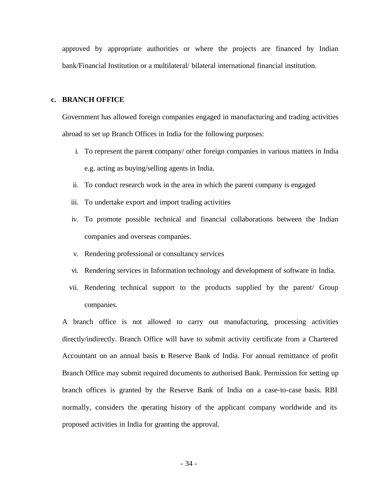approved by appropriate authorities or where the projects are financed by Indian bank/Financial Institution or a multilateral/ bilateral international financial institution.

#### **c. BRANCH OFFICE**

Government has allowed foreign companies engaged in manufacturing and trading activities abroad to set up Branch Offices in India for the following purposes:

- i. To represent the parent company/ other foreign companies in various matters in India e.g. acting as buying/selling agents in India.
- ii. To conduct research work in the area in which the parent company is engaged
- iii. To undertake export and import trading activities
- iv. To promote possible technical and financial collaborations between the Indian companies and overseas companies.
- v. Rendering professional or consultancy services
- vi. Rendering services in Information technology and development of software in India.
- vii. Rendering technical support to the products supplied by the parent/ Group companies.

A branch office is not allowed to carry out manufacturing, processing activities directly/indirectly. Branch Office will have to submit activity certificate from a Chartered Accountant on an annual basis to Reserve Bank of India. For annual remittance of profit Branch Office may submit required documents to authorised Bank. Permission for setting up branch offices is granted by the Reserve Bank of India on a case-to-case basis. RBI normally, considers the operating history of the applicant company worldwide and its proposed activities in India for granting the approval.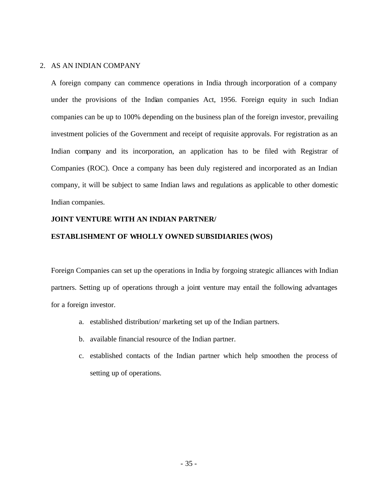#### 2. AS AN INDIAN COMPANY

A foreign company can commence operations in India through incorporation of a company under the provisions of the Indian companies Act, 1956. Foreign equity in such Indian companies can be up to 100% depending on the business plan of the foreign investor, prevailing investment policies of the Government and receipt of requisite approvals. For registration as an Indian company and its incorporation, an application has to be filed with Registrar of Companies (ROC). Once a company has been duly registered and incorporated as an Indian company, it will be subject to same Indian laws and regulations as applicable to other domestic Indian companies.

#### **JOINT VENTURE WITH AN INDIAN PARTNER/**

#### **ESTABLISHMENT OF WHOLLY OWNED SUBSIDIARIES (WOS)**

Foreign Companies can set up the operations in India by forgoing strategic alliances with Indian partners. Setting up of operations through a joint venture may entail the following advantages for a foreign investor.

- a. established distribution/ marketing set up of the Indian partners.
- b. available financial resource of the Indian partner.
- c. established contacts of the Indian partner which help smoothen the process of setting up of operations.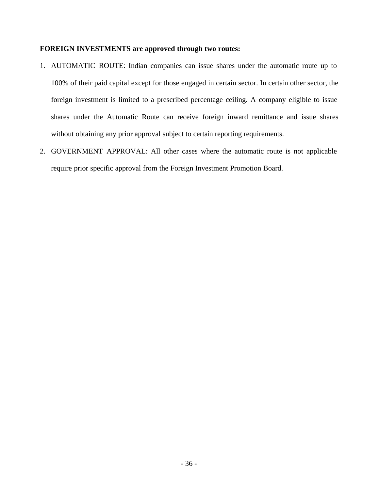#### **FOREIGN INVESTMENTS are approved through two routes:**

- 1. AUTOMATIC ROUTE: Indian companies can issue shares under the automatic route up to 100% of their paid capital except for those engaged in certain sector. In certain other sector, the foreign investment is limited to a prescribed percentage ceiling. A company eligible to issue shares under the Automatic Route can receive foreign inward remittance and issue shares without obtaining any prior approval subject to certain reporting requirements.
- 2. GOVERNMENT APPROVAL: All other cases where the automatic route is not applicable require prior specific approval from the Foreign Investment Promotion Board.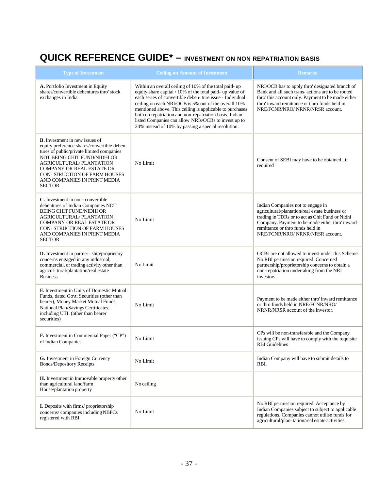## **QUICK REFERENCE GUIDE\* – INVESTMENT ON NON REPATRIATION BASIS**

| <b>Type of Investment</b>                                                                                                                                                                                                                                                                                                 | <b>Ceiling on Amount of Investment</b>                                                                                                                                                                                                                                                                                                                                                                                                                                        | <b>Remarks</b>                                                                                                                                                                                                                                                     |
|---------------------------------------------------------------------------------------------------------------------------------------------------------------------------------------------------------------------------------------------------------------------------------------------------------------------------|-------------------------------------------------------------------------------------------------------------------------------------------------------------------------------------------------------------------------------------------------------------------------------------------------------------------------------------------------------------------------------------------------------------------------------------------------------------------------------|--------------------------------------------------------------------------------------------------------------------------------------------------------------------------------------------------------------------------------------------------------------------|
| A. Portfolio Investment in Equity<br>shares/convertible debentures thro' stock<br>exchanges in India                                                                                                                                                                                                                      | Within an overall ceiling of 10% of the total paid-up<br>equity share capital / 10% of the total paid- up value of<br>each series of convertible deben- ture issue - Individual<br>ceiling on each NRI/OCB is 5% out of the overall 10%<br>mentioned above. This ceiling is applicable to purchases<br>both on repatriation and non-repatriation basis. Indian<br>listed Companies can allow NRIs/OCBs to invest up to<br>24% instead of 10% by passing a special resolution. | NRI/OCB has to apply thro' designated branch of<br>Bank and all such trans- actions are to be routed<br>thro' this account only. Payment to be made either<br>thro' inward remittance or thro funds held in<br>NRE/FCNR/NRO/ NRNR/NRSR account.                    |
| <b>B.</b> Investment in new issues of<br>equity.preference shares/convertible deben-<br>tures of public/private limited companies<br>NOT BEING CHIT FUND/NIDHI OR<br><b>AGRICULTURAL/PLANTATION</b><br>COMPANY OR REAL ESTATE OR<br><b>CON- STRUCTION OF FARM HOUSES</b><br>AND COMPANIES IN PRINT MEDIA<br><b>SECTOR</b> | No Limit                                                                                                                                                                                                                                                                                                                                                                                                                                                                      | Consent of SEBI may have to be obtained, if<br>required                                                                                                                                                                                                            |
| C. Investment in non-convertible<br>debentures of Indian Companies NOT<br><b>BEING CHIT FUND/NIDHI OR</b><br>AGRICULTURAL/PLANTATION<br><b>COMPANY OR REAL ESTATE OR</b><br><b>CON- STRUCTION OF FARM HOUSES</b><br>AND COMPANIES IN PRINT MEDIA<br><b>SECTOR</b>                                                         | No Limit                                                                                                                                                                                                                                                                                                                                                                                                                                                                      | Indian Companies not to engage in<br>agricultural/plantation/real estate business or<br>trading in TDRs or to act as Chit Fund or Nidhi<br>Company. Payment to be made either thro' inward<br>remittance or thro funds held in<br>NRE/FCNR/NRO/ NRNR/NRSR account. |
| D. Investment in partner-ship/proprietary<br>concerns engaged in any industrial,<br>commercial, or trading activity other than<br>agricul- tural/plantation/real estate<br><b>Business</b>                                                                                                                                | No Limit                                                                                                                                                                                                                                                                                                                                                                                                                                                                      | OCBs are not allowed to invest under this Scheme.<br>No RBI permission required. Concerned<br>partnership/proprietorship concerns to obtain a<br>non-repatriation undertaking from the NRI<br>investors.                                                           |
| <b>E.</b> Investment in Units of Domestic Mutual<br>Funds, dated Govt. Securities (other than<br>bearer), Money Market Mutual Funds,<br>National Plan/Savings Certificates,<br>including UTI. (other than bearer<br>securities)                                                                                           | No Limit                                                                                                                                                                                                                                                                                                                                                                                                                                                                      | Payment to be made either thro' inward remittance<br>or thro funds held in NRE/FCNR/NRO/<br>NRNR/NRSR account of the investor.                                                                                                                                     |
| F. Investment in Commercial Paper ("CP")<br>of Indian Companies                                                                                                                                                                                                                                                           | No Limit                                                                                                                                                                                                                                                                                                                                                                                                                                                                      | CPs will be non-transferable and the Company<br>issuing CPs will have to comply with the requisite<br><b>RBI</b> Guidelines                                                                                                                                        |
| G. Investment in Foreign Currency<br><b>Bonds/Depository Receipts</b>                                                                                                                                                                                                                                                     | No Limit                                                                                                                                                                                                                                                                                                                                                                                                                                                                      | Indian Company will have to submit details to<br>RBI.                                                                                                                                                                                                              |
| H. Investment in Immovable property other<br>than agricultural land/farm<br>House/plantation property                                                                                                                                                                                                                     | No ceiling                                                                                                                                                                                                                                                                                                                                                                                                                                                                    |                                                                                                                                                                                                                                                                    |
| <b>I.</b> Deposits with firms/proprietorship<br>concerns/companies including NBFCs<br>registered with RBI                                                                                                                                                                                                                 | No Limit                                                                                                                                                                                                                                                                                                                                                                                                                                                                      | No RBI permission required. Acceptance by<br>Indian Companies subject to subject to applicable<br>regulations. Companies cannot utilise funds for<br>agricultural/plan-tation/real estate activities.                                                              |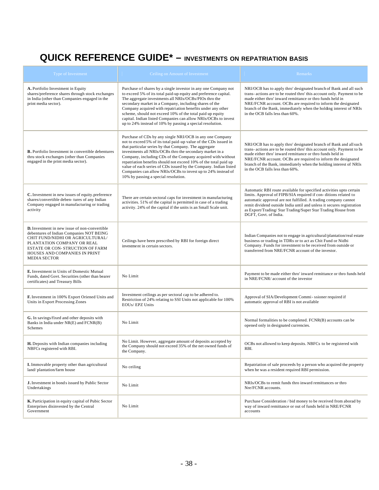## **QUICK REFERENCE GUIDE\* – INVESTMENTS ON REPATRIATION BASIS**

| Type of Investment                                                                                                                                                                                                                                            | Ceiling on Amount of Investment                                                                                                                                                                                                                                                                                                                                                                                                                                                                                                                                  | Remarks                                                                                                                                                                                                                                                                                                                                                                          |
|---------------------------------------------------------------------------------------------------------------------------------------------------------------------------------------------------------------------------------------------------------------|------------------------------------------------------------------------------------------------------------------------------------------------------------------------------------------------------------------------------------------------------------------------------------------------------------------------------------------------------------------------------------------------------------------------------------------------------------------------------------------------------------------------------------------------------------------|----------------------------------------------------------------------------------------------------------------------------------------------------------------------------------------------------------------------------------------------------------------------------------------------------------------------------------------------------------------------------------|
| A. Portfolio Investment in Equity<br>shares/preference shares through stock exchanges<br>in India (other than Companies engaged in the<br>print media sector).                                                                                                | Purchase of shares by a single investor in any one Company not<br>to exceed 5% of its total paid-up equity and preference capital.<br>The aggregate investments all NRIs/OCBs/PIOs thro the<br>secondary market in a Company, including shares of the<br>Company acquired with repatriation benefits under any other<br>scheme, should not exceed 10% of the total paid up equity<br>capital. Indian listed Companies can allow NRIs/OCBs to invest<br>up to 24% instead of 10% by passing a special resolution.                                                 | NRI/OCB has to apply thro' designated branch of Bank and all such<br>trans- actions are to be routed thro' this account only. Payment to be<br>made either thro' inward remittance or thro funds held in<br>NRE/FCNR account. OCBs are required to inform the designated<br>branch of the Bank, immediately when the holding interest of NRIs<br>in the OCB falls less than 60%. |
| <b>B.</b> Portfolio Investment in convertible debentures<br>thru stock exchanges (other than Companies<br>engaged in the print media sector).                                                                                                                 | Purchase of CDs by any single NRI/OCB in any one Company<br>not to exceed 5% of its total paid-up value of the CDs issued in<br>that particular series by that Company. The aggregate<br>investments all NRIs/OCBs thro the secondary market in a<br>Company, including CDs of the Company acquired with/without<br>repatriation benefits should not exceed 10% of the total paid up<br>value of each series of CDs issued by the Company. Indian listed<br>Companies can allow NRIs/OCBs to invest up to 24% instead of<br>10% by passing a special resolution. | NRI/OCB has to apply thro' designated branch of Bank and all such<br>trans-actions are to be routed thro' this account only. Payment to be<br>made either thro' inward remittance or thro funds held in<br>NRE/FCNR account. OCBs are required to inform the designated<br>branch of the Bank, immediately when the holding interest of NRIs<br>in the OCB falls less than 60%.  |
| C. Investment in new issues of equity preference<br>shares/convertible deben-tures of any Indian<br>Company engaged in manufacturing or trading<br>activity                                                                                                   | There are certain sectoral caps for investment in manufacturing<br>activities. 51% of the capital is permitted in case of a trading<br>activity. 24% of the capital if the units is an Small Scale unit.                                                                                                                                                                                                                                                                                                                                                         | Automatic RBI route available for specified activities upto certain<br>limits. Approval of FIPB/SIA required if con-ditions related to<br>automatic approval are not fulfilled. A trading company cannot<br>remit dividend outside India until and unless it secures registration<br>as Export/Trading/Star Trading/Super Star Trading House from<br>DGFT, Govt. of India.       |
| <b>D.</b> Investment in new issue of non-convertible<br>debentures of Indian Companies NOT BEING<br>CHIT FUND/NIDHI OR AGRICULTURAL/<br>PLANTATION COMPANY OR REAL<br>ESTATE OR CON-STRUCTION OF FARM<br>HOUSES AND COMPANIES IN PRINT<br><b>MEDIA SECTOR</b> | Ceilings have been prescribed by RBI for foreign direct<br>investment in certain sectors.                                                                                                                                                                                                                                                                                                                                                                                                                                                                        | Indian Companies not to engage in agricultural/plantation/real estate<br>business or trading in TDRs or to act as Chit Fund or Nidhi<br>Company. Funds for investment to be received from outside or<br>transferred from NRE/FCNR account of the investor.                                                                                                                       |
| E. Investment in Units of Domestic Mutual<br>Funds, dated Govt. Securities (other than bearer<br>certificates) and Treasury Bills                                                                                                                             | No Limit                                                                                                                                                                                                                                                                                                                                                                                                                                                                                                                                                         | Payment to be made either thro' inward remittance or thro funds held<br>in NRE/FCNR/ account of the investor                                                                                                                                                                                                                                                                     |
| F. Investment in 100% Export Oriened Units and<br>Units in Export Processing Zones                                                                                                                                                                            | Investment ceilings as per sectoral cap to be adhered to.<br>Restriction of 24% relating to SSI Units not applicable for 100%<br>EOUs/EPZ Units                                                                                                                                                                                                                                                                                                                                                                                                                  | Approval of SIA/Development Commi-ssioner required if<br>automatic approval of RBI is not available                                                                                                                                                                                                                                                                              |
| G. In savings/fixed and other deposits with<br>Banks in India under NR(E) and FCNR(B)<br>Schemes                                                                                                                                                              | No Limit                                                                                                                                                                                                                                                                                                                                                                                                                                                                                                                                                         | Normal formalities to be completed. FCNR(B) accounts can be<br>opened only in designated currencies.                                                                                                                                                                                                                                                                             |
| H. Deposits with Indian companies including<br>NBFCs registered with RBI.                                                                                                                                                                                     | No Limit. However, aggregate amount of deposits accepted by<br>the Company should not exceed 35% of the net owned funds of<br>the Company.                                                                                                                                                                                                                                                                                                                                                                                                                       | OCBs not allowed to keep deposits. NBFCs to be registered with<br>RBI.                                                                                                                                                                                                                                                                                                           |
| <b>I.</b> Immovable property other than agricultural<br>land/plantation/farm house                                                                                                                                                                            | No ceiling                                                                                                                                                                                                                                                                                                                                                                                                                                                                                                                                                       | Repatriation of sale proceeds by a person who acquired the property<br>when he was a resident required RBI permission.                                                                                                                                                                                                                                                           |
| <b>J.</b> Investment in bonds issued by Public Sector<br>Undertakings                                                                                                                                                                                         | No Limit                                                                                                                                                                                                                                                                                                                                                                                                                                                                                                                                                         | NRIs/OCBs to remit funds thro inward remittances or thro<br>Nre/FCNR accounts.                                                                                                                                                                                                                                                                                                   |
| K. Participation in equity capital of Pubic Sector<br>Enterprises disinvested by the Central<br>Government                                                                                                                                                    | No Limit                                                                                                                                                                                                                                                                                                                                                                                                                                                                                                                                                         | Purchase Consideration / bid money to be received from aborad by<br>way of inward remittance or out of funds held in NRE/FCNR<br>accounts                                                                                                                                                                                                                                        |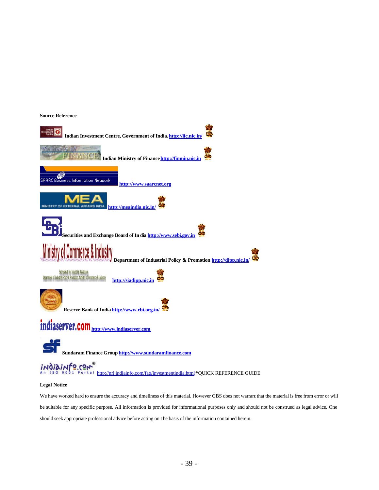#### **Source Reference**



#### **Legal Notice**

We have worked hard to ensure the accuracy and timeliness of this material. However GBS does not warrant that the material is free from error or will be suitable for any specific purpose. All information is provided for informational purposes only and should not be construed as legal advice. One should seek appropriate professional advice before acting on t he basis of the information contained herein.